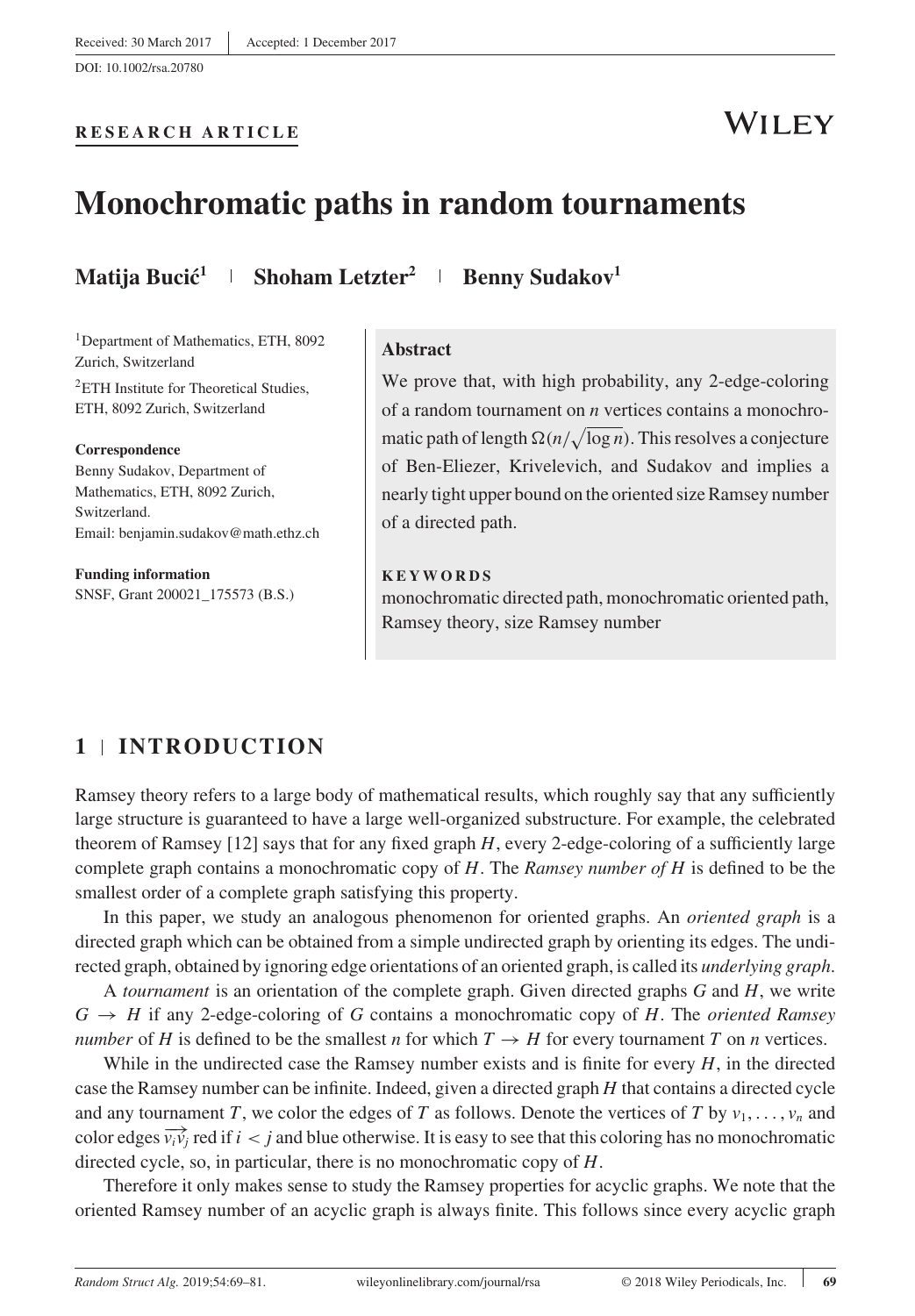## **RESEARCH ARTICLE**

## **WILEY**

## **Monochromatic paths in random tournaments**

**Matija Bucić<sup>1</sup> | Shoham Letzter<sup>2</sup> | Benny Sudakov<sup>1</sup>** 

<sup>1</sup>Department of Mathematics, ETH, 8092 Zurich, Switzerland

2ETH Institute for Theoretical Studies, ETH, 8092 Zurich, Switzerland

#### **Correspondence**

Benny Sudakov, Department of Mathematics, ETH, 8092 Zurich, Switzerland. Email: benjamin.sudakov@math.ethz.ch

**Funding information** SNSF, Grant 200021\_175573 (B.S.)

#### **Abstract**

We prove that, with high probability, any 2-edge-coloring of a random tournament on  $n$  vertices contains a monochromatic path of length  $\Omega(n/\sqrt{\log n})$ . This resolves a conjecture of Ben-Eliezer, Krivelevich, and Sudakov and implies a nearly tight upper bound on the oriented size Ramsey number of a directed path.

#### **KEYWORDS**

monochromatic directed path, monochromatic oriented path, Ramsey theory, size Ramsey number

## **1 INTRODUCTION**

Ramsey theory refers to a large body of mathematical results, which roughly say that any sufficiently large structure is guaranteed to have a large well-organized substructure. For example, the celebrated theorem of Ramsey  $[12]$  says that for any fixed graph H, every 2-edge-coloring of a sufficiently large complete graph contains a monochromatic copy of  $H$ . The Ramsey number of  $H$  is defined to be the smallest order of a complete graph satisfying this property.

In this paper, we study an analogous phenomenon for oriented graphs. An *oriented graph* is a directed graph which can be obtained from a simple undirected graph by orienting its edges. The undirected graph, obtained by ignoring edge orientations of an oriented graph, is called its underlying graph.

A *tournament* is an orientation of the complete graph. Given directed graphs  $G$  and  $H$ , we write  $G \rightarrow H$  if any 2-edge-coloring of G contains a monochromatic copy of H. The *oriented Ramsey number* of H is defined to be the smallest n for which  $T \rightarrow H$  for every tournament T on n vertices.

While in the undirected case the Ramsey number exists and is finite for every  $H$ , in the directed case the Ramsey number can be infinite. Indeed, given a directed graph H that contains a directed cycle and any tournament T, we color the edges of T as follows. Denote the vertices of T by  $v_1, \ldots, v_n$  and color edges  $\overrightarrow{v_i v_j}$  red if  $i < j$  and blue otherwise. It is easy to see that this coloring has no monochromatic directed cycle, so, in particular, there is no monochromatic copy of H.

Therefore it only makes sense to study the Ramsey properties for acyclic graphs. We note that the oriented Ramsey number of an acyclic graph is always finite. This follows since every acyclic graph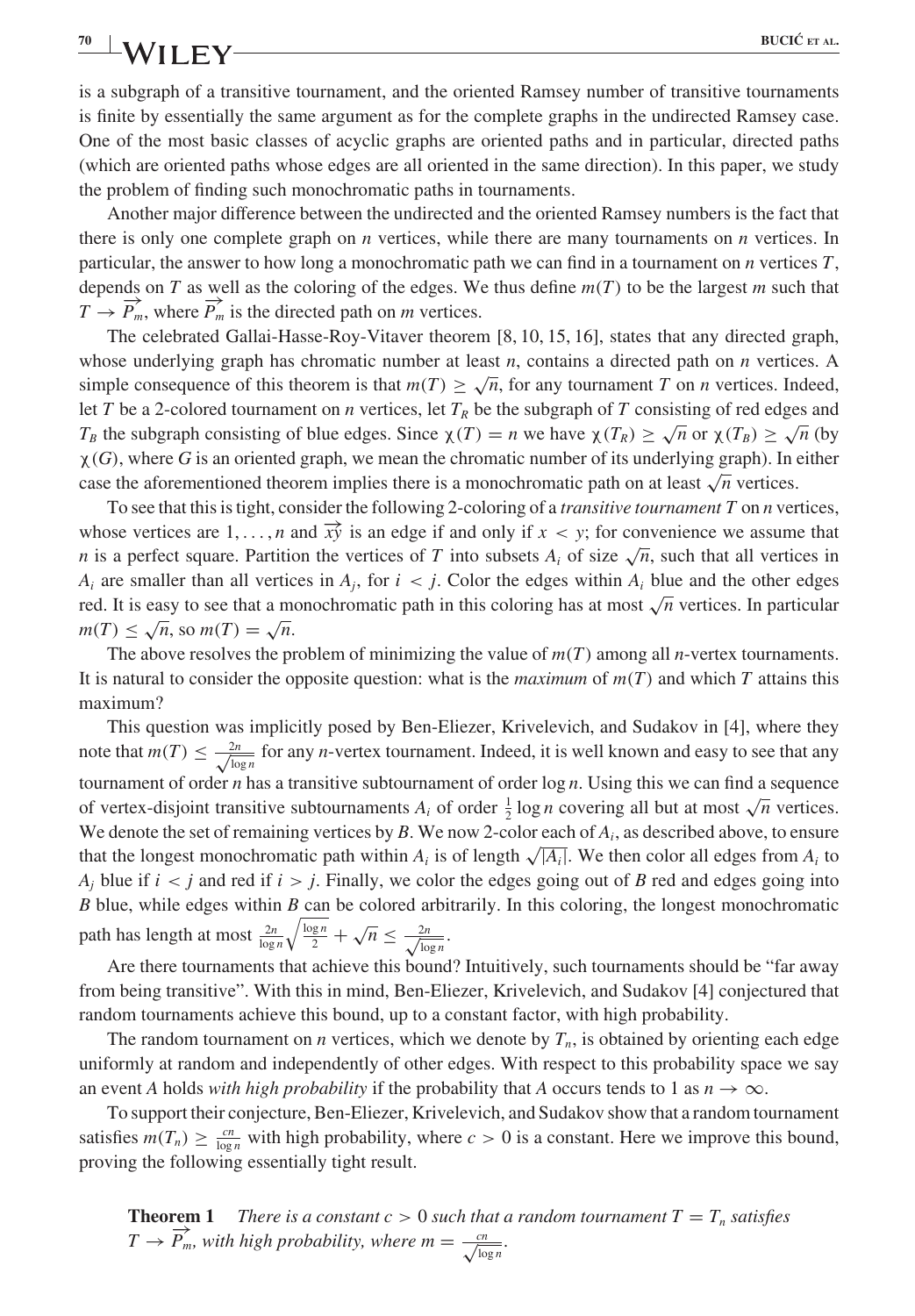is a subgraph of a transitive tournament, and the oriented Ramsey number of transitive tournaments is finite by essentially the same argument as for the complete graphs in the undirected Ramsey case. One of the most basic classes of acyclic graphs are oriented paths and in particular, directed paths (which are oriented paths whose edges are all oriented in the same direction). In this paper, we study the problem of finding such monochromatic paths in tournaments.

Another major difference between the undirected and the oriented Ramsey numbers is the fact that there is only one complete graph on  $n$  vertices, while there are many tournaments on  $n$  vertices. In particular, the answer to how long a monochromatic path we can find in a tournament on  $n$  vertices  $T$ , depends on T as well as the coloring of the edges. We thus define  $m(T)$  to be the largest m such that  $T \to \overrightarrow{P_m}$ , where  $\overrightarrow{P_m}$  is the directed path on *m* vertices.

The celebrated Gallai-Hasse-Roy-Vitaver theorem [8, 10, 15, 16], states that any directed graph, whose underlying graph has chromatic number at least  $n$ , contains a directed path on  $n$  vertices. A simple consequence of this theorem is that  $m(T) > \sqrt{n}$ , for any tournament T on n vertices. Indeed, let T be a 2-colored tournament on n vertices, let  $T_R$  be the subgraph of T consisting of red edges and  $T_B$  the subgraph consisting of blue edges. Since  $\chi(T) = n$  we have  $\chi(T_R) \geq \sqrt{n}$  or  $\chi(T_B) \geq \sqrt{n}$  (by  $\chi(G)$ , where G is an oriented graph, we mean the chromatic number of its underlying graph). In either case the aforementioned theorem implies there is a monochromatic path on at least  $\sqrt{n}$  vertices.

To see that this is tight, consider the following 2-coloring of a *transitive tournament*  $T$  on  $n$  vertices, whose vertices are  $1, \ldots, n$  and  $\overrightarrow{xy}$  is an edge if and only if  $x \leq y$ ; for convenience we assume that n is a perfect square. Partition the vertices of T into subsets  $A_i$  of size  $\sqrt{n}$ , such that all vertices in  $A_i$  are smaller than all vertices in  $A_i$ , for  $i < j$ . Color the edges within  $A_i$  blue and the other edges red. It is easy to see that a monochromatic path in this coloring has at most  $\sqrt{n}$  vertices. In particular  $m(T) \leq \sqrt{n}$ , so  $m(T) = \sqrt{n}$ .

The above resolves the problem of minimizing the value of  $m(T)$  among all *n*-vertex tournaments. It is natural to consider the opposite question: what is the *maximum* of  $m(T)$  and which T attains this maximum?

This question was implicitly posed by Ben-Eliezer, Krivelevich, and Sudakov in [4], where they note that  $m(T) \le \frac{2n}{\sqrt{\log n}}$  for any *n*-vertex tournament. Indeed, it is well known and easy to see that any tournament of order  $n$  has a transitive subtournament of order  $\log n$ . Using this we can find a sequence of vertex-disjoint transitive subtournaments  $A_i$  of order  $\frac{1}{2} \log n$  covering all but at most  $\sqrt{n}$  vertices. We denote the set of remaining vertices by B. We now 2-color each of  $A_i$ , as described above, to ensure that the longest monochromatic path within  $A_i$  is of length  $\sqrt{|A_i|}$ . We then color all edges from  $A_i$  to  $A_i$  blue if  $i < j$  and red if  $i > j$ . Finally, we color the edges going out of B red and edges going into  $B$  blue, while edges within  $B$  can be colored arbitrarily. In this coloring, the longest monochromatic path has length at most  $\frac{2n}{\log n} \sqrt{\frac{\log n}{2}} + \sqrt{n} \le \frac{2n}{\sqrt{\log n}}$ .

Are there tournaments that achieve this bound? Intuitively, such tournaments should be "far away from being transitive". With this in mind, Ben-Eliezer, Krivelevich, and Sudakov [4] conjectured that random tournaments achieve this bound, up to a constant factor, with high probability.

The random tournament on *n* vertices, which we denote by  $T_n$ , is obtained by orienting each edge uniformly at random and independently of other edges. With respect to this probability space we say an event A holds with high probability if the probability that A occurs tends to 1 as  $n \to \infty$ .

To support their conjecture, Ben-Eliezer, Krivelevich, and Sudakov show that a random tournament satisfies  $m(T_n) \ge \frac{cn}{\log n}$  with high probability, where  $c > 0$  is a constant. Here we improve this bound, proving the following essentially tight result.

**Theorem 1** There is a constant  $c > 0$  such that a random tournament  $T = T_n$  satisfies  $T \rightarrow \overrightarrow{P}_{m}$ , with high probability, where  $m = \frac{cn}{\sqrt{\log n}}$ .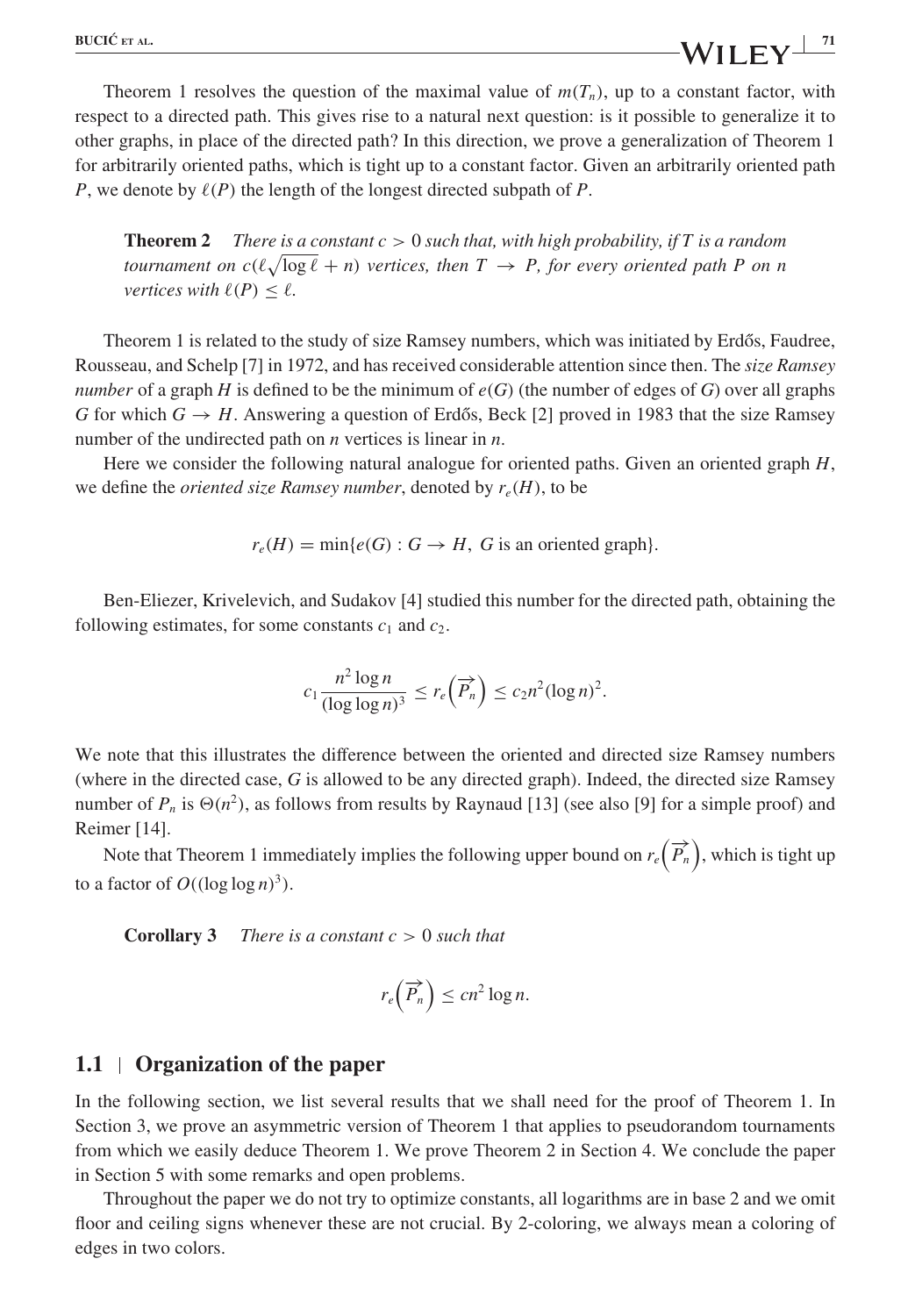Theorem 1 resolves the question of the maximal value of  $m(T_n)$ , up to a constant factor, with respect to a directed path. This gives rise to a natural next question: is it possible to generalize it to other graphs, in place of the directed path? In this direction, we prove a generalization of Theorem 1 for arbitrarily oriented paths, which is tight up to a constant factor. Given an arbitrarily oriented path P, we denote by  $\ell(P)$  the length of the longest directed subpath of P.

**Theorem 2** There is a constant  $c > 0$  such that, with high probability, if T is a random tournament on  $c(\ell \sqrt{\log \ell + n})$  vertices, then  $T \to P$ , for every oriented path P on n vertices with  $\ell(P) \leq \ell$ .

Theorem 1 is related to the study of size Ramsey numbers, which was initiated by Erdős, Faudree, Rousseau, and Schelp [7] in 1972, and has received considerable attention since then. The size Ramsey number of a graph H is defined to be the minimum of  $e(G)$  (the number of edges of G) over all graphs G for which  $G \rightarrow H$ . Answering a question of Erdős, Beck [2] proved in 1983 that the size Ramsey number of the undirected path on  $n$  vertices is linear in  $n$ .

Here we consider the following natural analogue for oriented paths. Given an oriented graph  $H$ , we define the *oriented size Ramsey number*, denoted by  $r_e(H)$ , to be

 $r_e(H) = \min\{e(G) : G \to H, G$  is an oriented graph.

Ben-Eliezer, Krivelevich, and Sudakov [4] studied this number for the directed path, obtaining the following estimates, for some constants  $c_1$  and  $c_2$ .

$$
c_1 \frac{n^2 \log n}{(\log \log n)^3} \le r_e \left(\overrightarrow{P_n}\right) \le c_2 n^2 (\log n)^2.
$$

We note that this illustrates the difference between the oriented and directed size Ramsey numbers (where in the directed case, G is allowed to be any directed graph). Indeed, the directed size Ramsey number of  $P_n$  is  $\Theta(n^2)$ , as follows from results by Raynaud [13] (see also [9] for a simple proof) and Reimer [14].

Note that Theorem 1 immediately implies the following upper bound on  $r_e(\overrightarrow{P_n})$ , which is tight up to a factor of  $O((\log \log n)^3)$ .

**Corollary 3** There is a constant  $c > 0$  such that

$$
r_e\left(\overrightarrow{P_n}\right) \le cn^2 \log n.
$$

#### **1.1 Organization of the paper**

In the following section, we list several results that we shall need for the proof of Theorem 1. In Section 3, we prove an asymmetric version of Theorem 1 that applies to pseudorandom tournaments from which we easily deduce Theorem 1. We prove Theorem 2 in Section 4. We conclude the paper in Section 5 with some remarks and open problems.

Throughout the paper we do not try to optimize constants, all logarithms are in base 2 and we omit floor and ceiling signs whenever these are not crucial. By 2-coloring, we always mean a coloring of edges in two colors.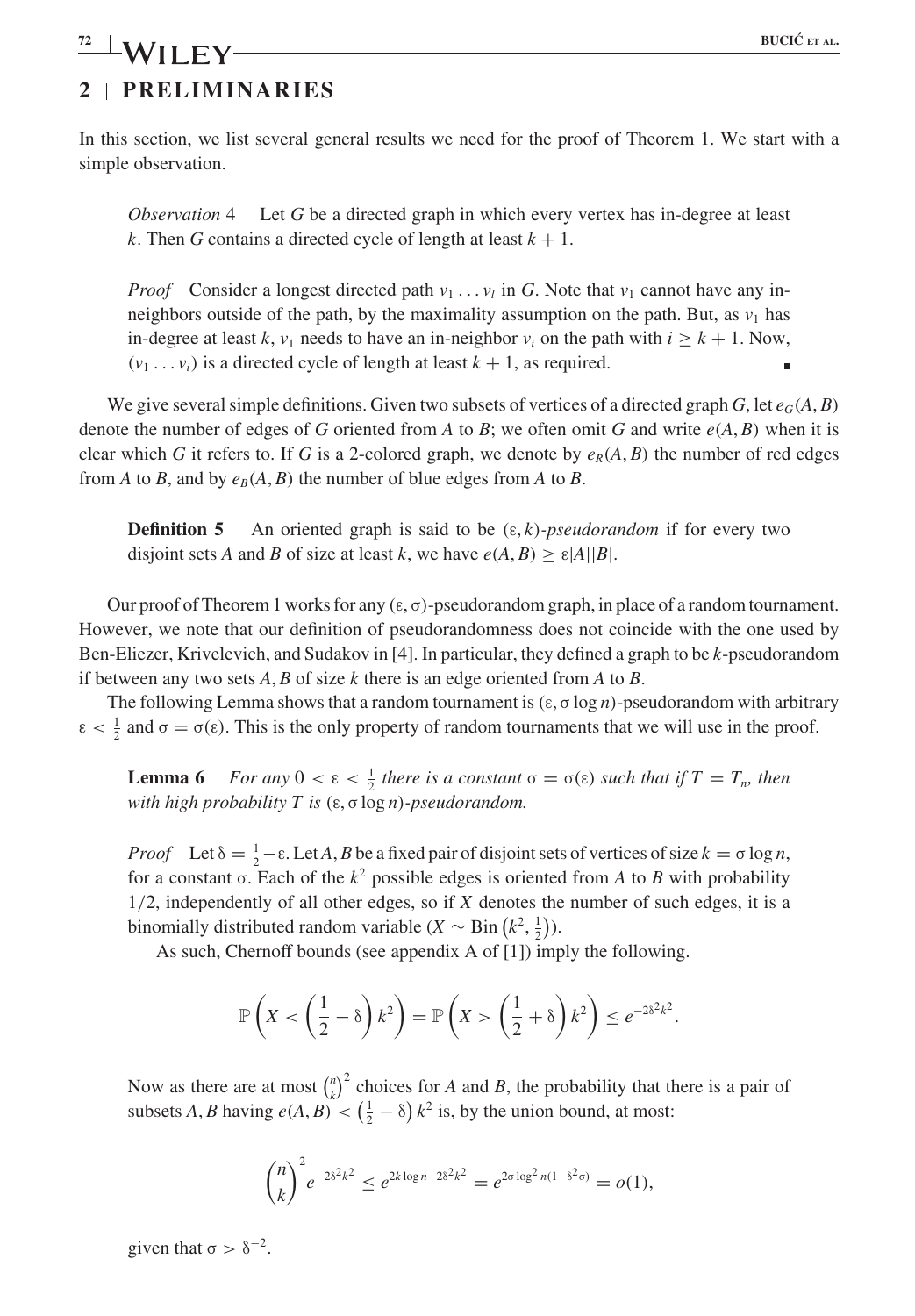### **4 EUCL**<sup> $\left($ </sup> **EUCL**<sup> $\left($ </sup>**ET AL. 2 PRELIMINARIES** *P***<sub>2</sub> <b>BUCI**Č ET AL.

In this section, we list several general results we need for the proof of Theorem 1. We start with a simple observation.

*Observation* 4 Let G be a directed graph in which every vertex has in-degree at least k. Then G contains a directed cycle of length at least  $k + 1$ .

*Proof* Consider a longest directed path  $v_1 \nldots v_l$  in G. Note that  $v_1$  cannot have any inneighbors outside of the path, by the maximality assumption on the path. But, as  $v_1$  has in-degree at least k,  $v_1$  needs to have an in-neighbor  $v_i$  on the path with  $i \geq k + 1$ . Now,  $(v_1 \ldots v_i)$  is a directed cycle of length at least  $k + 1$ , as required.

We give several simple definitions. Given two subsets of vertices of a directed graph G, let  $e_G(A, B)$ denote the number of edges of G oriented from A to B; we often omit G and write  $e(A, B)$  when it is clear which G it refers to. If G is a 2-colored graph, we denote by  $e_R(A, B)$  the number of red edges from A to B, and by  $e_B(A, B)$  the number of blue edges from A to B.

**Definition 5** An oriented graph is said to be  $(\epsilon, k)$ -pseudorandom if for every two disjoint sets A and B of size at least k, we have  $e(A, B) > \varepsilon |A||B|$ .

Our proof of Theorem 1 works for any  $(\epsilon, \sigma)$ -pseudorandom graph, in place of a random tournament. However, we note that our definition of pseudorandomness does not coincide with the one used by Ben-Eliezer, Krivelevich, and Sudakov in [4]. In particular, they defined a graph to be k-pseudorandom if between any two sets  $A, B$  of size k there is an edge oriented from A to B.

The following Lemma shows that a random tournament is  $(\epsilon, \sigma \log n)$ -pseudorandom with arbitrary  $\epsilon < \frac{1}{2}$  and  $\sigma = \sigma(\epsilon)$ . This is the only property of random tournaments that we will use in the proof.

**Lemma 6** For any  $0 < \varepsilon < \frac{1}{2}$  there is a constant  $\sigma = \sigma(\varepsilon)$  such that if  $T = T_n$ , then with high probability T is  $(\varepsilon, \sigma \log n)$ -pseudorandom.

*Proof* Let  $\delta = \frac{1}{2} - \epsilon$ . Let A, B be a fixed pair of disjoint sets of vertices of size  $k = \sigma \log n$ , for a constant  $\sigma$ . Each of the  $k^2$  possible edges is oriented from A to B with probability 1/2, independently of all other edges, so if X denotes the number of such edges, it is a binomially distributed random variable  $(X \sim Bin(k^2, \frac{1}{2}))$ .

As such, Chernoff bounds (see appendix A of [1]) imply the following.

$$
\mathbb{P}\left(X < \left(\frac{1}{2} - \delta\right)k^2\right) = \mathbb{P}\left(X > \left(\frac{1}{2} + \delta\right)k^2\right) \leq e^{-2\delta^2k^2}.
$$

Now as there are at most  $\binom{n}{k}^2$  choices for A and B, the probability that there is a pair of subsets A, B having  $e(A, B) < (\frac{1}{2} - \delta) k^2$  is, by the union bound, at most:

$$
{\binom{n}{k}}^2 e^{-2\delta^2 k^2} \le e^{2k \log n - 2\delta^2 k^2} = e^{2\sigma \log^2 n(1 - \delta^2 \sigma)} = o(1),
$$

given that  $\sigma > \delta^{-2}$ .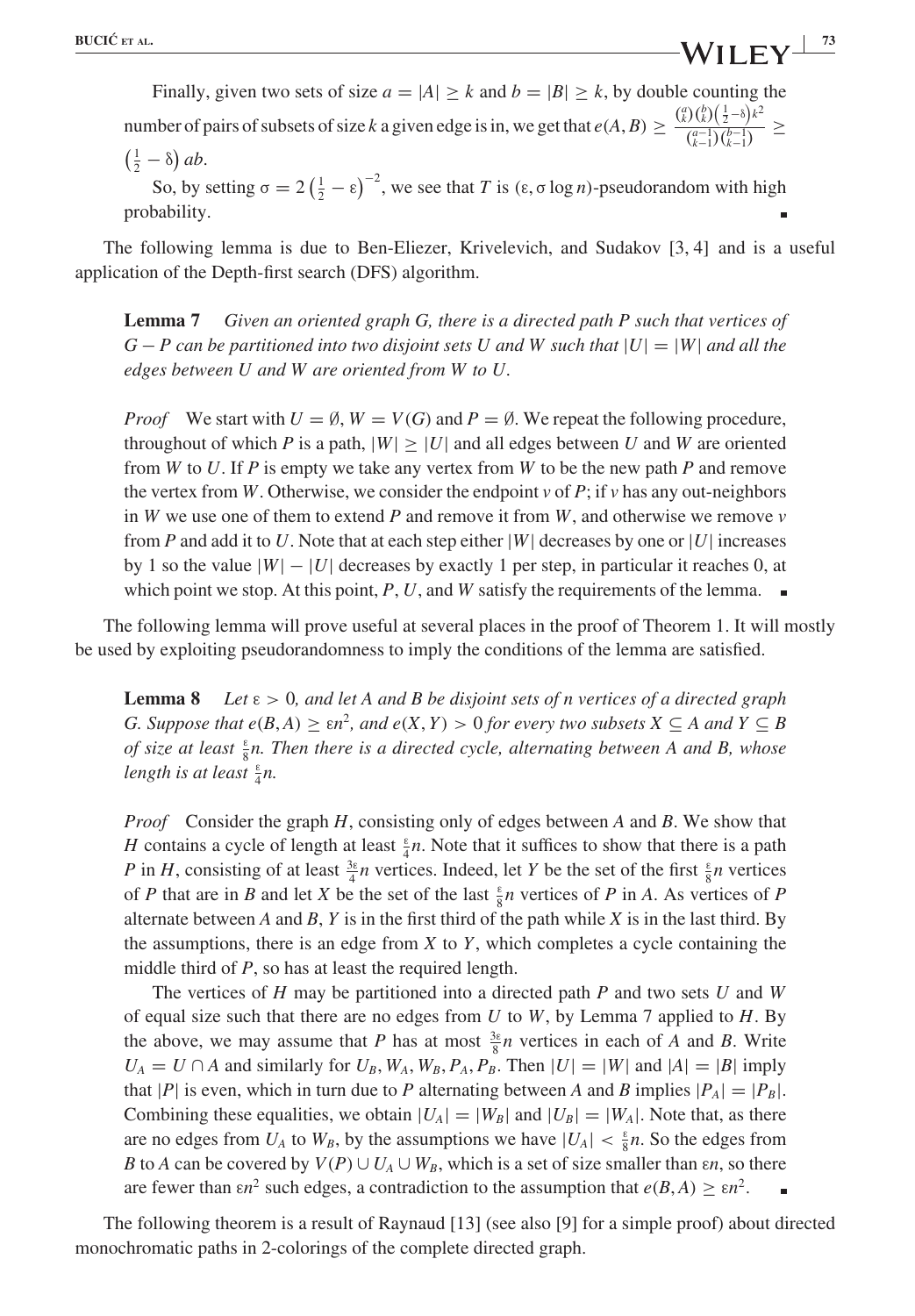Finally, given two sets of size  $a = |A| \ge k$  and  $b = |B| \ge k$ , by double counting the number of pairs of subsets of size k a given edge is in, we get that  $e(A, B) \ge \frac{{\binom{a}{k}} {\binom{b}{k}} {\binom{1}{2}} - \frac{b}{k}}{\binom{a-1}{2} {\binom{b-1}{k}}}$  $\frac{\binom{a-1}{k-1}\binom{b-1}{k-1}}{\binom{b-1}{k-1}} \geq$ 

$$
\left(\frac{1}{2}-\delta\right)ab.
$$

So, by setting  $\sigma = 2(\frac{1}{2} - \epsilon)^{-2}$ , we see that T is  $(\epsilon, \sigma \log n)$ -pseudorandom with high probability.

The following lemma is due to Ben-Eliezer, Krivelevich, and Sudakov [3, 4] and is a useful application of the Depth-first search (DFS) algorithm.

**Lemma 7** Given an oriented graph G, there is a directed path P such that vertices of  $G - P$  can be partitioned into two disjoint sets U and W such that  $|U| = |W|$  and all the edges between U and W are oriented from W to U.

*Proof* We start with  $U = \emptyset$ ,  $W = V(G)$  and  $P = \emptyset$ . We repeat the following procedure, throughout of which P is a path,  $|W| \geq |U|$  and all edges between U and W are oriented from W to U. If P is empty we take any vertex from W to be the new path P and remove the vertex from W. Otherwise, we consider the endpoint  $v$  of  $P$ ; if  $v$  has any out-neighbors in W we use one of them to extend P and remove it from W, and otherwise we remove  $\nu$ from P and add it to U. Note that at each step either  $|W|$  decreases by one or  $|U|$  increases by 1 so the value  $|W| - |U|$  decreases by exactly 1 per step, in particular it reaches 0, at which point we stop. At this point, P, U, and W satisfy the requirements of the lemma.  $\blacksquare$ 

The following lemma will prove useful at several places in the proof of Theorem 1. It will mostly be used by exploiting pseudorandomness to imply the conditions of the lemma are satisfied.

**Lemma 8** Let  $\varepsilon > 0$ , and let A and B be disjoint sets of n vertices of a directed graph G. Suppose that  $e(B, A) \geq \varepsilon n^2$ , and  $e(X, Y) > 0$  for every two subsets  $X \subseteq A$  and  $Y \subseteq B$ of size at least  $\frac{1}{8}$ n. Then there is a directed cycle, alternating between A and B, whose length is at least  $\frac{1}{4}n$ .

*Proof* Consider the graph  $H$ , consisting only of edges between  $A$  and  $B$ . We show that H contains a cycle of length at least  $\frac{\epsilon}{4}n$ . Note that it suffices to show that there is a path P in H, consisting of at least  $\frac{3\varepsilon}{4}n$  vertices. Indeed, let Y be the set of the first  $\frac{\varepsilon}{8}n$  vertices of P that are in B and let X be the set of the last  $\frac{1}{8}n$  vertices of P in A. As vertices of P alternate between A and B, Y is in the first third of the path while X is in the last third. By the assumptions, there is an edge from  $X$  to  $Y$ , which completes a cycle containing the middle third of P, so has at least the required length.

The vertices of  $H$  may be partitioned into a directed path  $P$  and two sets  $U$  and  $W$ of equal size such that there are no edges from  $U$  to  $W$ , by Lemma 7 applied to  $H$ . By the above, we may assume that P has at most  $\frac{3\varepsilon}{8}n$  vertices in each of A and B. Write  $U_A = U \cap A$  and similarly for  $U_B$ ,  $W_A$ ,  $W_B$ ,  $P_A$ ,  $P_B$ . Then  $|U| = |W|$  and  $|A| = |B|$  imply that |P| is even, which in turn due to P alternating between A and B implies  $|P_A|=|P_B|$ . Combining these equalities, we obtain  $|U_A|=|W_B|$  and  $|U_B|=|W_A|$ . Note that, as there are no edges from  $U_A$  to  $W_B$ , by the assumptions we have  $|U_A| < \frac{\varepsilon}{8}n$ . So the edges from B to A can be covered by  $V(P) \cup U_A \cup W_B$ , which is a set of size smaller than  $\epsilon n$ , so there are fewer than  $\epsilon n^2$  such edges, a contradiction to the assumption that  $e(B, A) \geq \epsilon n^2$ .  $\blacksquare$ 

The following theorem is a result of Raynaud [13] (see also [9] for a simple proof) about directed monochromatic paths in 2-colorings of the complete directed graph.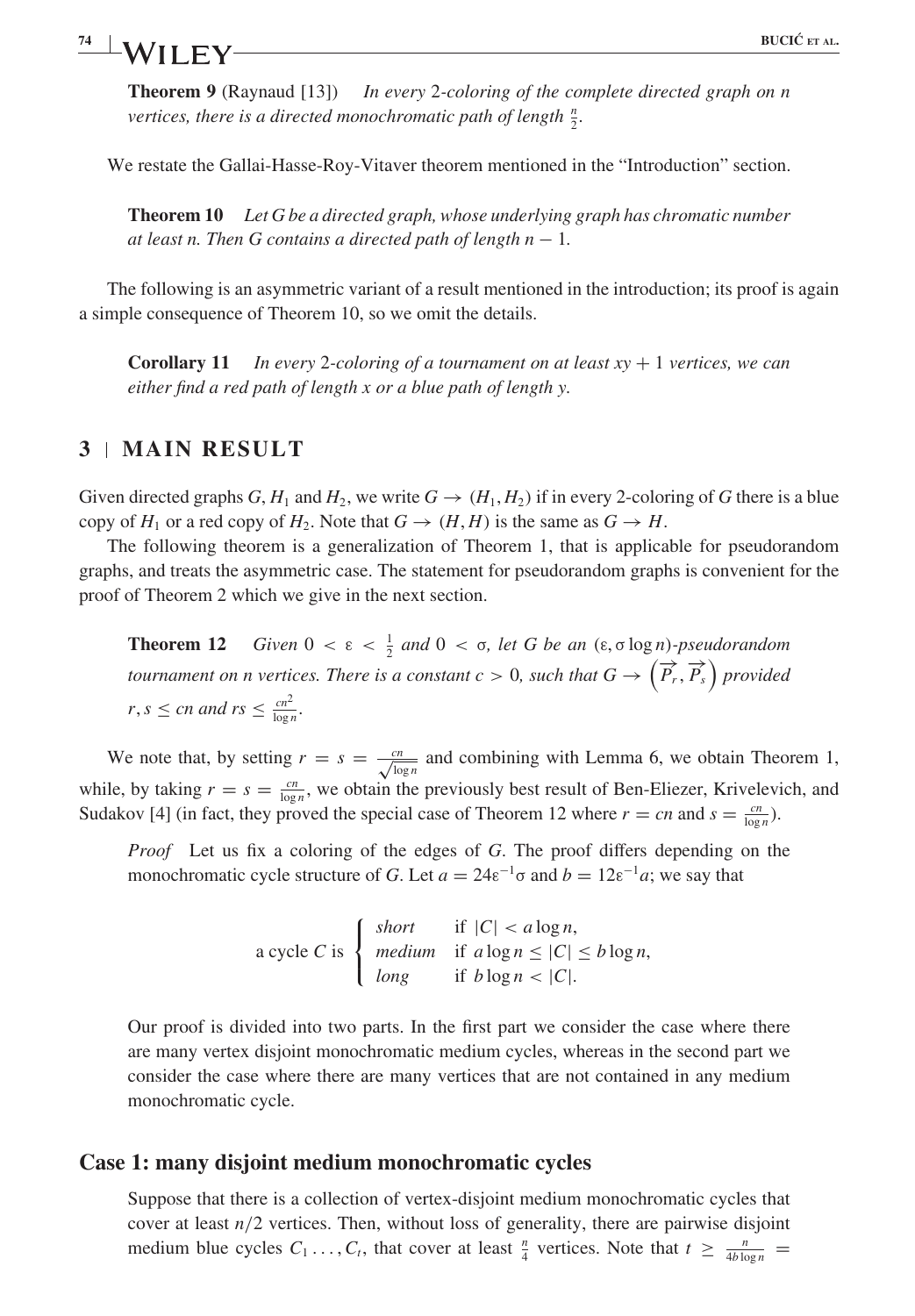## **6 BUCIC´ ET AL. 74 BUCIĆ ET AL.**

**Theorem 9** (Raynaud [13]) In every 2-coloring of the complete directed graph on n vertices, there is a directed monochromatic path of length  $\frac{n}{2}$ .

We restate the Gallai-Hasse-Roy-Vitaver theorem mentioned in the "Introduction" section.

**Theorem 10** Let G be a directed graph, whose underlying graph has chromatic number at least n. Then G contains a directed path of length  $n-1$ .

The following is an asymmetric variant of a result mentioned in the introduction; its proof is again a simple consequence of Theorem 10, so we omit the details.

**Corollary 11** In every 2-coloring of a tournament on at least  $xy + 1$  vertices, we can either find a red path of length x or a blue path of length y.

## **3 MAIN RESULT**

Given directed graphs G,  $H_1$  and  $H_2$ , we write  $G \rightarrow (H_1, H_2)$  if in every 2-coloring of G there is a blue copy of  $H_1$  or a red copy of  $H_2$ . Note that  $G \rightarrow (H, H)$  is the same as  $G \rightarrow H$ .

The following theorem is a generalization of Theorem 1, that is applicable for pseudorandom graphs, and treats the asymmetric case. The statement for pseudorandom graphs is convenient for the proof of Theorem 2 which we give in the next section.

**Theorem 12** Given  $0 < \varepsilon < \frac{1}{2}$  and  $0 < \sigma$ , let G be an  $(\varepsilon, \sigma \log n)$ -pseudorandom tournament on n vertices. There is a constant  $c > 0$ , such that  $G \to \left(\overrightarrow{P_r}, \overrightarrow{P_s}\right)$  provided  $r, s \leq cn$  and  $rs \leq \frac{cn^2}{\log n}$ .

We note that, by setting  $r = s = \frac{cn}{\sqrt{\log n}}$  and combining with Lemma 6, we obtain Theorem 1, while, by taking  $r = s = \frac{cn}{\log n}$ , we obtain the previously best result of Ben-Eliezer, Krivelevich, and Sudakov [4] (in fact, they proved the special case of Theorem 12 where  $r = cn$  and  $s = \frac{cn}{\log n}$ ).

Proof Let us fix a coloring of the edges of G. The proof differs depending on the monochromatic cycle structure of G. Let  $a = 24\varepsilon^{-1}\sigma$  and  $b = 12\varepsilon^{-1}a$ ; we say that

> a cycle C is  $\sqrt{2}$ ⎨  $\mathbf{I}$ short if  $|C| < a \log n$ , medium if  $a \log n \leq |C| \leq b \log n$ , long if  $b \log n < |C|$ .

Our proof is divided into two parts. In the first part we consider the case where there are many vertex disjoint monochromatic medium cycles, whereas in the second part we consider the case where there are many vertices that are not contained in any medium monochromatic cycle.

### **Case 1: many disjoint medium monochromatic cycles**

Suppose that there is a collection of vertex-disjoint medium monochromatic cycles that cover at least  $n/2$  vertices. Then, without loss of generality, there are pairwise disjoint medium blue cycles  $C_1 \ldots, C_t$ , that cover at least  $\frac{n}{4}$  vertices. Note that  $t \geq \frac{n}{4b \log n}$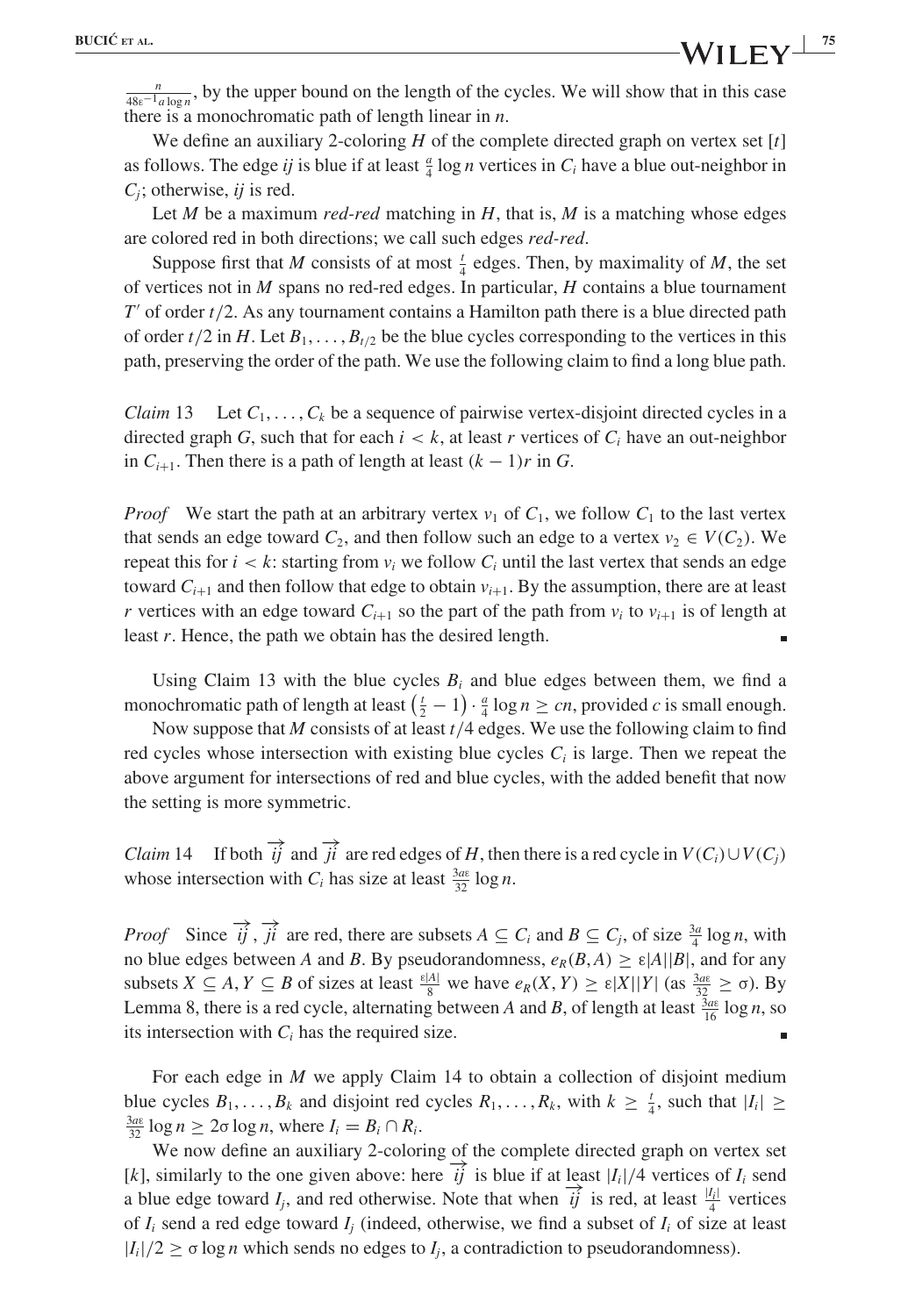$\frac{n}{48\varepsilon^{-1}a\log n}$ , by the upper bound on the length of the cycles. We will show that in this case there is a monochromatic path of length linear in  $n$ .

We define an auxiliary 2-coloring  $H$  of the complete directed graph on vertex set  $[t]$ as follows. The edge *ij* is blue if at least  $\frac{a}{4} \log n$  vertices in  $C_i$  have a blue out-neighbor in  $C_i$ ; otherwise, ij is red.

Let M be a maximum red-red matching in  $H$ , that is, M is a matching whose edges are colored red in both directions; we call such edges red-red.

Suppose first that M consists of at most  $\frac{1}{4}$  edges. Then, by maximality of M, the set of vertices not in  $M$  spans no red-red edges. In particular,  $H$  contains a blue tournament  $T'$  of order  $t/2$ . As any tournament contains a Hamilton path there is a blue directed path of order  $t/2$  in H. Let  $B_1, \ldots, B_{t/2}$  be the blue cycles corresponding to the vertices in this path, preserving the order of the path. We use the following claim to find a long blue path.

*Claim* 13 Let  $C_1, \ldots, C_k$  be a sequence of pairwise vertex-disjoint directed cycles in a directed graph G, such that for each  $i < k$ , at least r vertices of  $C_i$  have an out-neighbor in  $C_{i+1}$ . Then there is a path of length at least  $(k - 1)r$  in G.

*Proof* We start the path at an arbitrary vertex  $v_1$  of  $C_1$ , we follow  $C_1$  to the last vertex that sends an edge toward  $C_2$ , and then follow such an edge to a vertex  $v_2 \in V(C_2)$ . We repeat this for  $i < k$ : starting from  $v_i$  we follow  $C_i$  until the last vertex that sends an edge toward  $C_{i+1}$  and then follow that edge to obtain  $v_{i+1}$ . By the assumption, there are at least r vertices with an edge toward  $C_{i+1}$  so the part of the path from  $v_i$  to  $v_{i+1}$  is of length at least r. Hence, the path we obtain has the desired length.

Using Claim 13 with the blue cycles  $B_i$  and blue edges between them, we find a monochromatic path of length at least  $\left(\frac{t}{2} - 1\right) \cdot \frac{a}{4} \log n \ge cn$ , provided c is small enough.

Now suppose that  $M$  consists of at least  $t/4$  edges. We use the following claim to find red cycles whose intersection with existing blue cycles  $C<sub>i</sub>$  is large. Then we repeat the above argument for intersections of red and blue cycles, with the added benefit that now the setting is more symmetric.

*Claim* 14 If both  $\overrightarrow{ij}$  and  $\overrightarrow{ji}$  are red edges of H, then there is a red cycle in  $V(C_i) \cup V(C_j)$ whose intersection with  $C_i$  has size at least  $\frac{3a\epsilon}{32} \log n$ .

*Proof* Since  $\overrightarrow{ij}$ ,  $\overrightarrow{ji}$  are red, there are subsets  $A \subseteq C_i$  and  $B \subseteq C_j$ , of size  $\frac{3a}{4} \log n$ , with no blue edges between A and B. By pseudorandomness,  $e_R(B, A) \ge \varepsilon |A||B|$ , and for any subsets  $X \subseteq A$ ,  $Y \subseteq B$  of sizes at least  $\frac{\varepsilon |A|}{8}$  we have  $e_R(X, Y) \ge \varepsilon |X||Y|$  (as  $\frac{3a\varepsilon}{32} \ge \sigma$ ). By Lemma 8, there is a red cycle, alternating between A and B, of length at least  $\frac{3a\epsilon}{16} \log n$ , so its intersection with  $C_i$  has the required size.

For each edge in  $M$  we apply Claim 14 to obtain a collection of disjoint medium blue cycles  $B_1, \ldots, B_k$  and disjoint red cycles  $R_1, \ldots, R_k$ , with  $k \geq \frac{t}{4}$ , such that  $|I_i| \geq \frac{3a}{4} \log n \geq 2\sigma \log n$ , where  $I = B_1 \cap B_2$ .  $\frac{3a\epsilon}{32}$  log  $n \geq 2\sigma \log n$ , where  $I_i = B_i \cap R_i$ .

We now define an auxiliary 2-coloring of the complete directed graph on vertex set [k], similarly to the one given above: here  $\overrightarrow{ij}$  is blue if at least  $|I_i|/4$  vertices of  $I_i$  send a blue edge toward  $I_j$ , and red otherwise. Note that when  $\overrightarrow{ij}$  is red, at least  $\frac{|I_i|}{4}$  vertices of  $I_i$  send a red edge toward  $I_i$  (indeed, otherwise, we find a subset of  $I_i$  of size at least  $|I_i|/2 > \sigma \log n$  which sends no edges to  $I_i$ , a contradiction to pseudorandomness).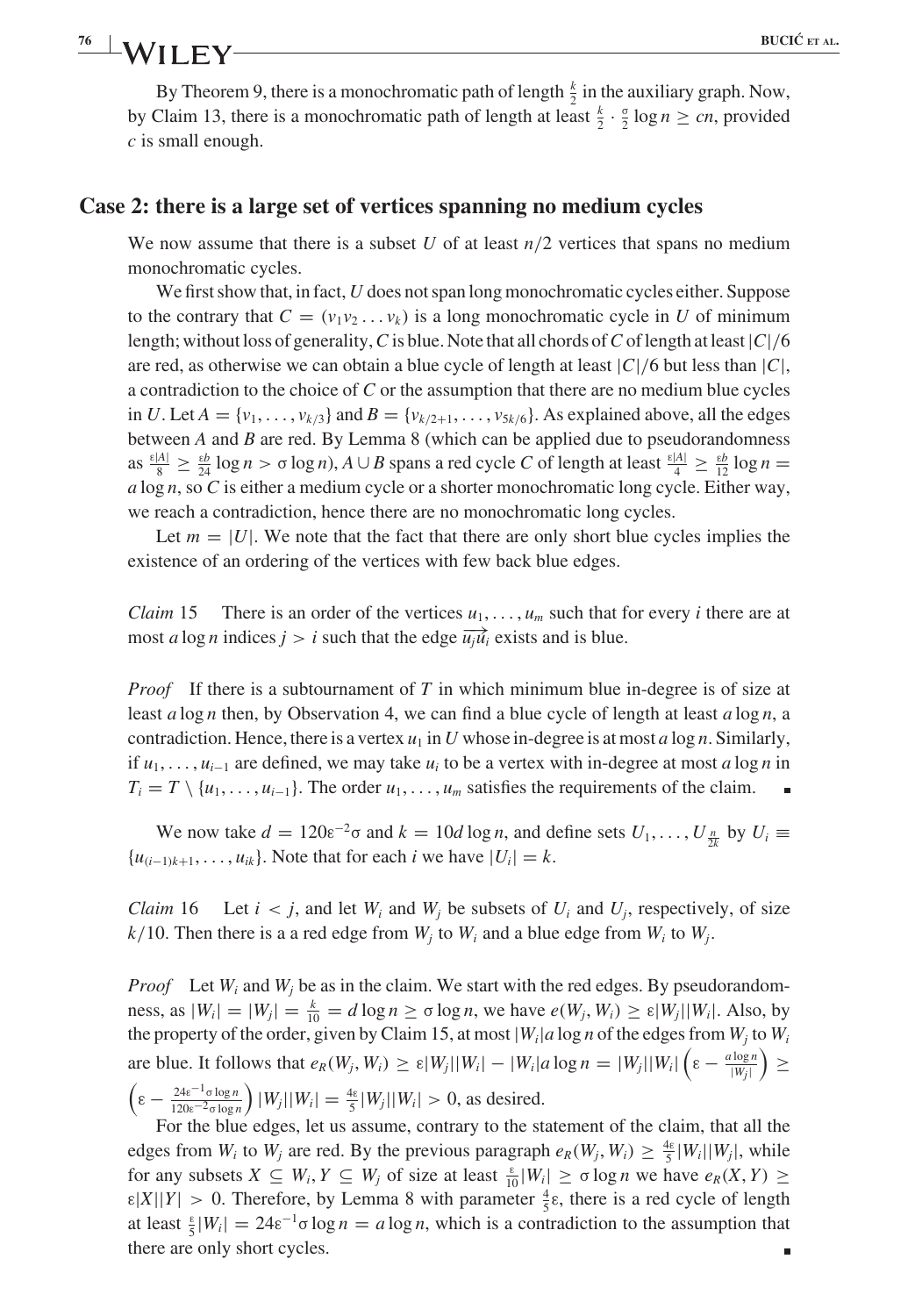# **8 BUCIĆ** ET AL.

By Theorem 9, there is a monochromatic path of length  $\frac{k}{2}$  in the auxiliary graph. Now, by Claim 13, there is a monochromatic path of length at least  $\frac{k}{2} \cdot \frac{\sigma}{2} \log n \ge cn$ , provided  $c$  is small enough.

## **Case 2: there is a large set of vertices spanning no medium cycles**

We now assume that there is a subset U of at least  $n/2$  vertices that spans no medium monochromatic cycles.

We first show that, in fact, U does not span long monochromatic cycles either. Suppose to the contrary that  $C = (v_1v_2 \dots v_k)$  is a long monochromatic cycle in U of minimum length; without loss of generality, C is blue. Note that all chords of C of length at least  $|C|/6$ are red, as otherwise we can obtain a blue cycle of length at least  $|C|/6$  but less than  $|C|$ , a contradiction to the choice of  $C$  or the assumption that there are no medium blue cycles in U. Let  $A = \{v_1, \ldots, v_{k/3}\}\$  and  $B = \{v_{k/2+1}, \ldots, v_{5k/6}\}\$ . As explained above, all the edges between  $A$  and  $B$  are red. By Lemma 8 (which can be applied due to pseudorandomness as  $\frac{\epsilon|A|}{8} \ge \frac{\epsilon b}{24} \log n > \sigma \log n$ ,  $A \cup B$  spans a red cycle C of length at least  $\frac{\epsilon|A|}{4} \ge \frac{\epsilon b}{12} \log n =$  $a \log n$ , so C is either a medium cycle or a shorter monochromatic long cycle. Either way, we reach a contradiction, hence there are no monochromatic long cycles.

Let  $m = |U|$ . We note that the fact that there are only short blue cycles implies the existence of an ordering of the vertices with few back blue edges.

*Claim* 15 There is an order of the vertices  $u_1, \ldots, u_m$  such that for every *i* there are at most a log n indices  $j > i$  such that the edge  $\overrightarrow{u_j u_i}$  exists and is blue.

*Proof* If there is a subtournament of T in which minimum blue in-degree is of size at least a log n then, by Observation 4, we can find a blue cycle of length at least a log n, a contradiction. Hence, there is a vertex  $u_1$  in U whose in-degree is at most a log n. Similarly, if  $u_1, \ldots, u_{i-1}$  are defined, we may take  $u_i$  to be a vertex with in-degree at most a log n in  $T_i = T \setminus \{u_1, \ldots, u_{i-1}\}.$  The order  $u_1, \ldots, u_m$  satisfies the requirements of the claim.

We now take  $d = 120\varepsilon^{-2}\sigma$  and  $k = 10d \log n$ , and define sets  $U_1, \ldots, U_{\frac{n}{2k}}$  by  $U_i \equiv$  $\{u_{(i-1)k+1}, \ldots, u_{ik}\}.$  Note that for each i we have  $|U_i| = k$ .

*Claim* 16 Let  $i < j$ , and let  $W_i$  and  $W_j$  be subsets of  $U_i$  and  $U_j$ , respectively, of size  $k/10$ . Then there is a a red edge from  $W_i$  to  $W_i$  and a blue edge from  $W_i$  to  $W_i$ .

*Proof* Let  $W_i$  and  $W_j$  be as in the claim. We start with the red edges. By pseudorandomness, as  $|W_i| = |W_j| = \frac{k}{10} = d \log n \ge \sigma \log n$ , we have  $e(W_j, W_i) \ge \varepsilon |W_j| |W_i|$ . Also, by the property of the order, given by Claim 15, at most  $|W_i|$  a log n of the edges from  $W_i$  to  $W_i$ are blue. It follows that  $e_R(W_j, W_i) \ge \varepsilon |W_j||W_i| - |W_i|a \log n = |W_j||W_i|\left(\varepsilon - \frac{a \log n}{|W_j|}\right)$  ≥  $\left(\varepsilon - \frac{24\varepsilon^{-1} \sigma \log n}{120\varepsilon^{-2} \sigma \log n}\right) |W_j||W_i| = \frac{4\varepsilon}{5} |W_j||W_i| > 0$ , as desired.

For the blue edges, let us assume, contrary to the statement of the claim, that all the edges from  $W_i$  to  $W_j$  are red. By the previous paragraph  $e_R(W_j, W_i) \geq \frac{4\varepsilon}{5} |W_i||W_j|$ , while for any subsets  $X \subseteq W_i$ ,  $Y \subseteq W_j$  of size at least  $\frac{\varepsilon}{10}|W_i| \ge \sigma \log n$  we have  $e_R(X, Y) \ge$  $\varepsilon|X||Y| > 0$ . Therefore, by Lemma 8 with parameter  $\frac{4}{5}\varepsilon$ , there is a red cycle of length at least  $\frac{1}{5} |W_i| = 24 \varepsilon^{-1} \sigma \log n = a \log n$ , which is a contradiction to the assumption that there are only short cycles. Ē.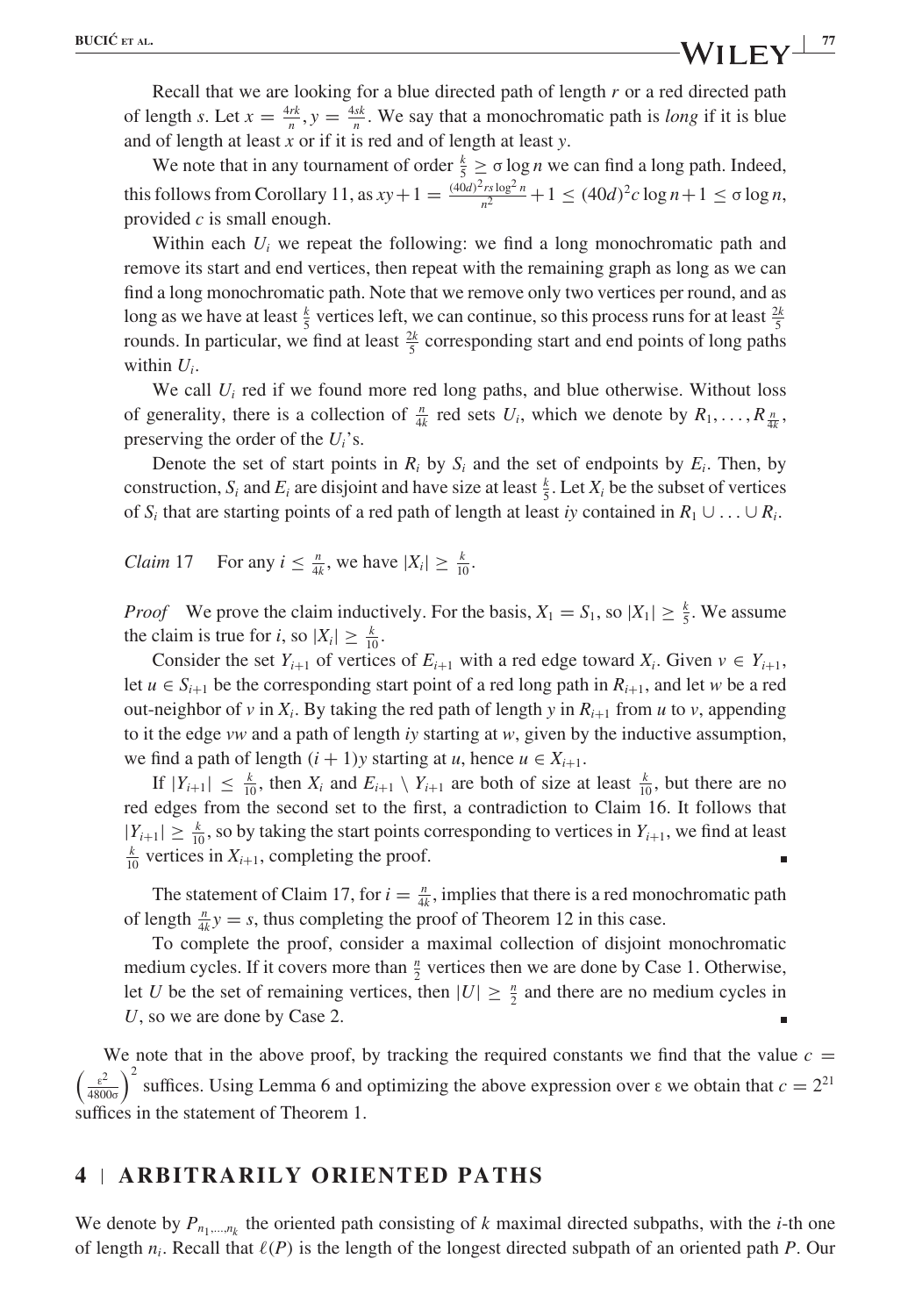Recall that we are looking for a blue directed path of length  $r$  or a red directed path of length s. Let  $x = \frac{4rk}{n}$ ,  $y = \frac{4sk}{n}$ . We say that a monochromatic path is *long* if it is blue and of length at least  $x$  or if it is red and of length at least  $y$ .

We note that in any tournament of order  $\frac{k}{5} \ge \sigma \log n$  we can find a long path. Indeed, this follows from Corollary 11, as  $xy + 1 = \frac{(40d)^2 rs \log^2 n}{n^2} + 1 \le (40d)^2 c \log n + 1 \le \sigma \log n$ , provided  $c$  is small enough.

Within each  $U_i$  we repeat the following: we find a long monochromatic path and remove its start and end vertices, then repeat with the remaining graph as long as we can find a long monochromatic path. Note that we remove only two vertices per round, and as long as we have at least  $\frac{k}{5}$  vertices left, we can continue, so this process runs for at least  $\frac{2k}{5}$ rounds. In particular, we find at least  $\frac{2k}{5}$  corresponding start and end points of long paths within  $U_i$ .

We call  $U_i$  red if we found more red long paths, and blue otherwise. Without loss of generality, there is a collection of  $\frac{n}{4k}$  red sets  $U_i$ , which we denote by  $R_1, \ldots, R_{\frac{n}{4k}}$ , preserving the order of the  $U_i$ 's.

Denote the set of start points in  $R_i$  by  $S_i$  and the set of endpoints by  $E_i$ . Then, by construction,  $S_i$  and  $E_i$  are disjoint and have size at least  $\frac{k}{5}$ . Let  $X_i$  be the subset of vertices of S<sub>i</sub> that are starting points of a red path of length at least iy contained in  $R_1 \cup \ldots \cup R_i$ .

*Claim* 17 For any  $i \leq \frac{n}{4k}$ , we have  $|X_i| \geq \frac{k}{10}$ .

*Proof* We prove the claim inductively. For the basis,  $X_1 = S_1$ , so  $|X_1| \ge \frac{k}{5}$ . We assume the claim is true for *i*, so  $|X_i| \geq \frac{k}{10}$ .

Consider the set  $Y_{i+1}$  of vertices of  $E_{i+1}$  with a red edge toward  $X_i$ . Given  $v \in Y_{i+1}$ , let  $u \in S_{i+1}$  be the corresponding start point of a red long path in  $R_{i+1}$ , and let w be a red out-neighbor of v in  $X_i$ . By taking the red path of length y in  $R_{i+1}$  from u to v, appending to it the edge vw and a path of length iy starting at w, given by the inductive assumption, we find a path of length  $(i + 1)y$  starting at u, hence  $u \in X_{i+1}$ .

If  $|Y_{i+1}| \leq \frac{k}{10}$ , then  $X_i$  and  $E_{i+1} \setminus Y_{i+1}$  are both of size at least  $\frac{k}{10}$ , but there are no red edges from the second set to the first, a contradiction to Claim 16. It follows that  $|Y_{i+1}| \geq \frac{k}{10}$ , so by taking the start points corresponding to vertices in  $Y_{i+1}$ , we find at least k vertices in  $Y_{i+1}$  completing the proof  $\frac{k}{10}$  vertices in  $X_{i+1}$ , completing the proof.

The statement of Claim 17, for  $i = \frac{n}{4k}$ , implies that there is a red monochromatic path of length  $\frac{n}{4k}y = s$ , thus completing the proof of Theorem 12 in this case.

To complete the proof, consider a maximal collection of disjoint monochromatic medium cycles. If it covers more than  $\frac{n}{2}$  vertices then we are done by Case 1. Otherwise, let U be the set of remaining vertices, then  $|U| \geq \frac{n}{2}$  and there are no medium cycles in U, so we are done by Case 2.

We note that in the above proof, by tracking the required constants we find that the value  $c =$  $\left(\frac{\epsilon^2}{4800\sigma}\right)^2$  suffices. Using Lemma 6 and optimizing the above expression over  $\epsilon$  we obtain that  $c = 2^{21}$ suffices in the statement of Theorem 1.

### **4 ARBITRARILY ORIENTED PATHS**

We denote by  $P_{n_1,\dots,n_k}$  the oriented path consisting of k maximal directed subpaths, with the *i*-th one of length  $n_i$ . Recall that  $\ell(P)$  is the length of the longest directed subpath of an oriented path P. Our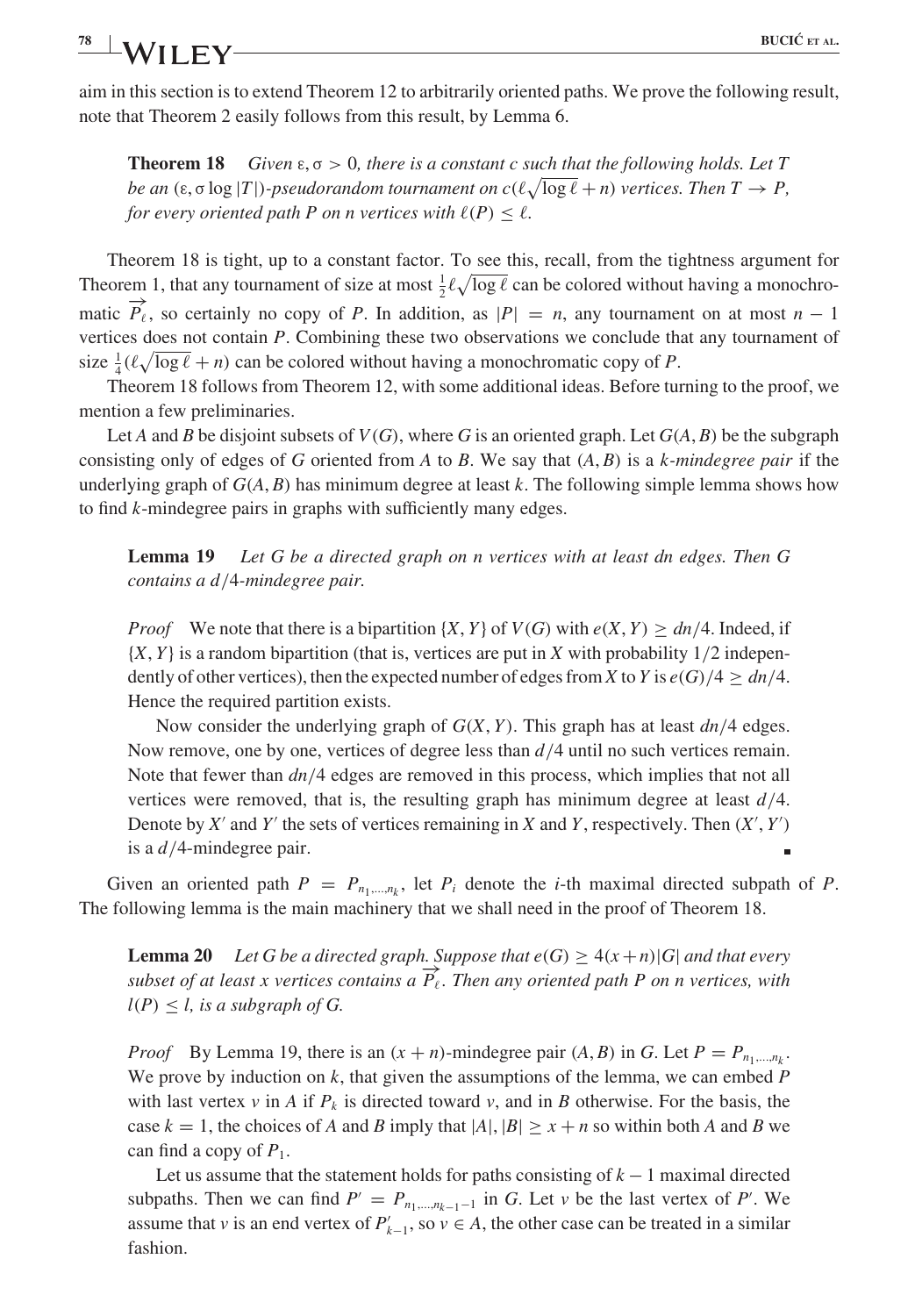#### **10 EUCLIC**<sup>ET</sup> **EV BUCIC**<sup>ET</sup> **EX 78 AL. AL. FIGUC** ET AL.

aim in this section is to extend Theorem 12 to arbitrarily oriented paths. We prove the following result, note that Theorem 2 easily follows from this result, by Lemma 6.

**Theorem 18** Given  $\varepsilon, \sigma > 0$ , there is a constant c such that the following holds. Let T be an  $(\varepsilon, \sigma \log |T|)$ -pseudorandom tournament on  $c(\ell \sqrt{\log \ell + n})$  vertices. Then  $T \to P$ , for every oriented path P on n vertices with  $\ell(P) \leq \ell$ .

Theorem 18 is tight, up to a constant factor. To see this, recall, from the tightness argument for Theorem 1, that any tournament of size at most  $\frac{1}{2}\ell\sqrt{\log \ell}$  can be colored without having a monochromatic  $\overrightarrow{P}_{\ell}$ , so certainly no copy of P. In addition, as  $|P| = n$ , any tournament on at most  $n - 1$ vertices does not contain P. Combining these two observations we conclude that any tournament of size  $\frac{1}{4}(\ell\sqrt{\log \ell} + n)$  can be colored without having a monochromatic copy of P.

Theorem 18 follows from Theorem 12, with some additional ideas. Before turning to the proof, we mention a few preliminaries.

Let A and B be disjoint subsets of  $V(G)$ , where G is an oriented graph. Let  $G(A, B)$  be the subgraph consisting only of edges of G oriented from A to B. We say that  $(A, B)$  is a k-mindegree pair if the underlying graph of  $G(A, B)$  has minimum degree at least k. The following simple lemma shows how to find k-mindegree pairs in graphs with sufficiently many edges.

**Lemma 19** Let G be a directed graph on n vertices with at least dn edges. Then G contains a d/4-mindegree pair.

*Proof* We note that there is a bipartition  $\{X, Y\}$  of  $V(G)$  with  $e(X, Y) \geq dn/4$ . Indeed, if  $\{X, Y\}$  is a random bipartition (that is, vertices are put in X with probability  $1/2$  independently of other vertices), then the expected number of edges from X to Y is  $e(G)/4 \geq dn/4$ . Hence the required partition exists.

Now consider the underlying graph of  $G(X, Y)$ . This graph has at least  $dn/4$  edges. Now remove, one by one, vertices of degree less than  $d/4$  until no such vertices remain. Note that fewer than  $dn/4$  edges are removed in this process, which implies that not all vertices were removed, that is, the resulting graph has minimum degree at least  $d/4$ . Denote by X' and Y' the sets of vertices remaining in X and Y, respectively. Then  $(X', Y')$ is a  $d/4$ -mindegree pair.

Given an oriented path  $P = P_{n_1,...,n_k}$ , let  $P_i$  denote the *i*-th maximal directed subpath of P. The following lemma is the main machinery that we shall need in the proof of Theorem 18.

**Lemma 20** Let G be a directed graph. Suppose that  $e(G) \geq 4(x+n)|G|$  and that every subset of at least x vertices contains a  $\overrightarrow{P}_{\ell}$ . Then any oriented path P on n vertices, with  $l(P) \leq l$ , is a subgraph of G.

*Proof* By Lemma 19, there is an  $(x + n)$ -mindegree pair  $(A, B)$  in G. Let  $P = P_{n_1,...,n_k}$ . We prove by induction on  $k$ , that given the assumptions of the lemma, we can embed  $P$ with last vertex v in A if  $P_k$  is directed toward v, and in B otherwise. For the basis, the case  $k = 1$ , the choices of A and B imply that  $|A|, |B| \ge x + n$  so within both A and B we can find a copy of  $P_1$ .

Let us assume that the statement holds for paths consisting of  $k - 1$  maximal directed subpaths. Then we can find  $P' = P_{n_1,...,n_{k-1}-1}$  in G. Let v be the last vertex of P'. We assume that v is an end vertex of  $P'_{k-1}$ , so  $v \in A$ , the other case can be treated in a similar fashion.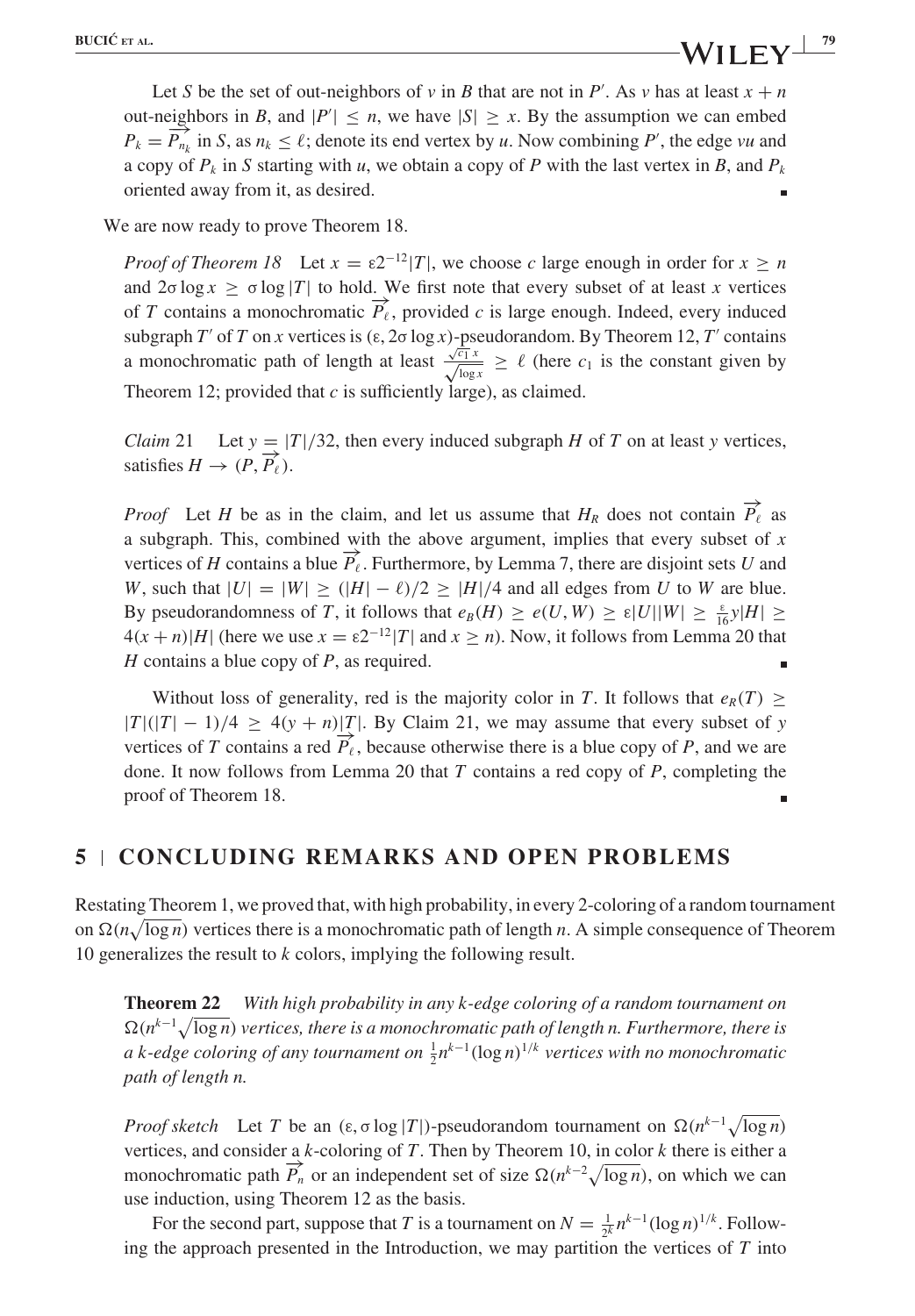Let S be the set of out-neighbors of v in B that are not in P'. As v has at least  $x + n$ out-neighbors in B, and  $|P'| \le n$ , we have  $|S| \ge x$ . By the assumption we can embed  $P_k = \overrightarrow{P_{n_k}}$  in S, as  $n_k \leq \ell$ ; denote its end vertex by u. Now combining P', the edge vu and a copy of  $P_k$  in S starting with u, we obtain a copy of P with the last vertex in B, and  $P_k$ oriented away from it, as desired.

We are now ready to prove Theorem 18.

*Proof of Theorem 18* Let  $x = \varepsilon 2^{-12} |T|$ , we choose c large enough in order for  $x \ge n$ and  $2\sigma \log x > \sigma \log |T|$  to hold. We first note that every subset of at least x vertices of T contains a monochromatic  $\overrightarrow{P}_{\ell}$ , provided c is large enough. Indeed, every induced subgraph T' of T on x vertices is  $(\epsilon, 2\sigma \log x)$ -pseudorandom. By Theorem 12, T' contains a monochromatic path of length at least  $\frac{\sqrt{c_1}x}{\sqrt{\log x}} \ge \ell$  (here  $c_1$  is the constant given by Theorem 12; provided that  $c$  is sufficiently large), as claimed.

*Claim* 21 Let  $y = |T|/32$ , then every induced subgraph H of T on at least y vertices, satisfies  $H \to (P, \overrightarrow{P_{\ell}})$ .

*Proof* Let H be as in the claim, and let us assume that  $H_R$  does not contain  $\overrightarrow{P}_{\ell}$  as a subgraph. This, combined with the above argument, implies that every subset of  $x$ vertices of H contains a blue  $\overrightarrow{P}_{\ell}$ . Furthermore, by Lemma 7, there are disjoint sets U and W, such that  $|U| = |W| \ge (|H| - \ell)/2 \ge |H|/4$  and all edges from U to W are blue. By pseudorandomness of T, it follows that  $e_B(H) \ge e(U, W) \ge \varepsilon |U||W| \ge \frac{\varepsilon}{16}y|H| \ge$  $4(x + n)|H|$  (here we use  $x = \epsilon 2^{-1/2} |T|$  and  $x \ge n$ ). Now, it follows from Lemma 20 that  $H$  contains a blue copy of  $P$ , as required.

Without loss of generality, red is the majority color in T. It follows that  $e_R(T) \geq$  $|T|(|T| - 1)/4 \ge 4(y + n)|T|$ . By Claim 21, we may assume that every subset of y vertices of T contains a red  $\overrightarrow{P}_{\ell}$ , because otherwise there is a blue copy of P, and we are done. It now follows from Lemma 20 that  $T$  contains a red copy of  $P$ , completing the proof of Theorem 18.

## **5 CONCLUDING REMARKS AND OPEN PROBLEMS**

Restating Theorem 1, we proved that, with high probability, in every 2-coloring of a random tournament on  $\Omega(n\sqrt{\log n})$  vertices there is a monochromatic path of length n. A simple consequence of Theorem 10 generalizes the result to  $k$  colors, implying the following result.

**Theorem 22** With high probability in any k-edge coloring of a random tournament on  $\Omega(n^{k-1}\sqrt{\log n})$  vertices, there is a monochromatic path of length n. Furthermore, there is a k-edge coloring of any tournament on  $\frac{1}{2}n^{k-1}(\log n)^{1/k}$  vertices with no monochromatic path of length n.

*Proof sketch* Let T be an  $(\epsilon, \sigma \log |T|)$ -pseudorandom tournament on  $\Omega(n^{k-1}\sqrt{\log n})$ vertices, and consider a k-coloring of T. Then by Theorem 10, in color  $k$  there is either a monochromatic path  $\overrightarrow{P_n}$  or an independent set of size  $\Omega(n^{k-2}\sqrt{\log n})$ , on which we can use induction, using Theorem 12 as the basis.

For the second part, suppose that T is a tournament on  $N = \frac{1}{2^k} n^{k-1} (\log n)^{1/k}$ . Following the approach presented in the Introduction, we may partition the vertices of  $T$  into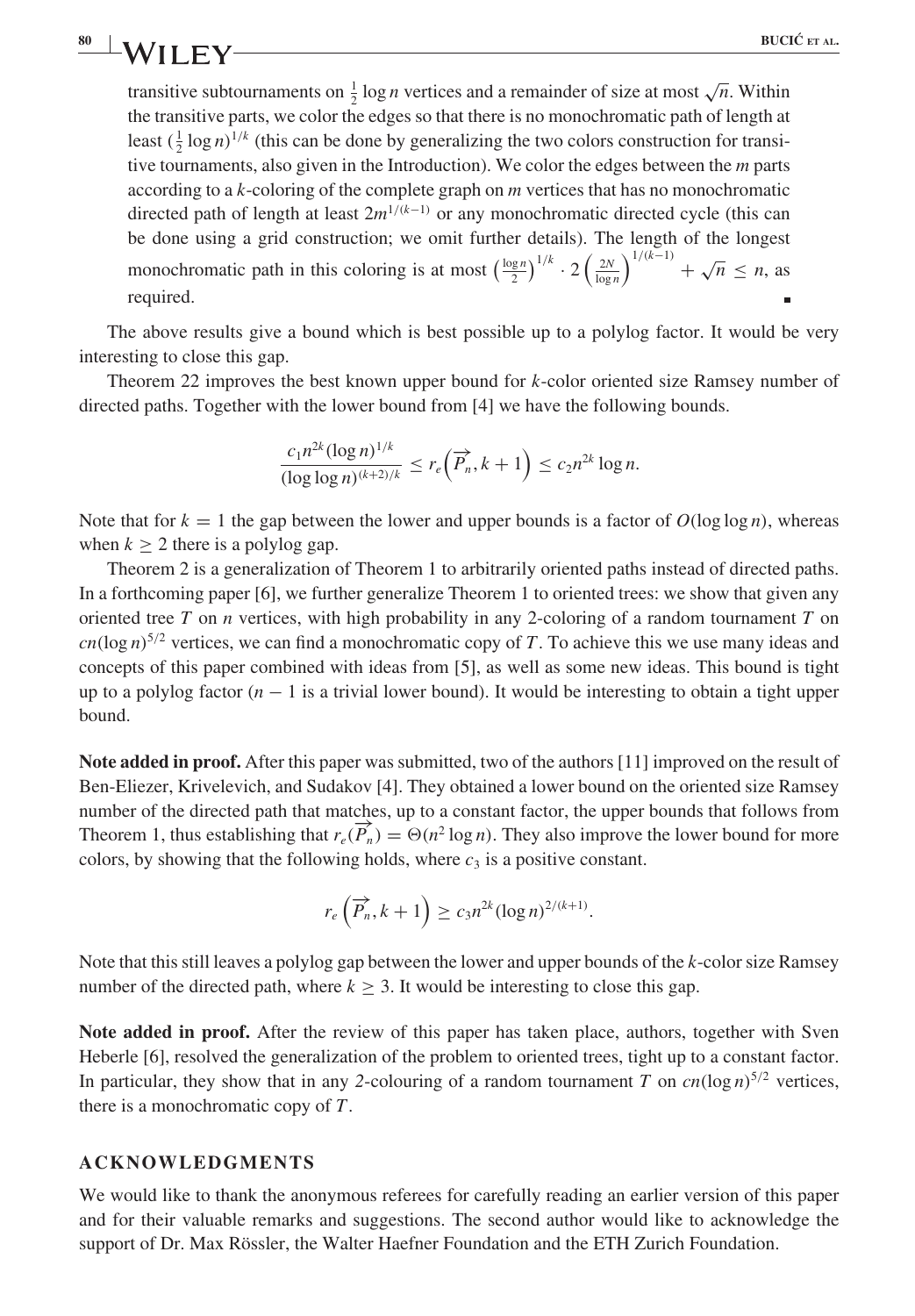transitive subtournaments on  $\frac{1}{2} \log n$  vertices and a remainder of size at most  $\sqrt{n}$ . Within the transitive parts, we color the edges so that there is no monochromatic path of length at least  $(\frac{1}{2} \log n)^{1/k}$  (this can be done by generalizing the two colors construction for transitive tournaments, also given in the Introduction). We color the edges between the  $m$  parts according to a  $k$ -coloring of the complete graph on  $m$  vertices that has no monochromatic directed path of length at least  $2m^{1/(k-1)}$  or any monochromatic directed cycle (this can be done using a grid construction; we omit further details). The length of the longest monochromatic path in this coloring is at most  $\left(\frac{\log n}{2}\right)^{1/k} \cdot 2\left(\frac{2N}{\log n}\right)^{1/(k-1)} + \sqrt{n} \le n$ , as required.

The above results give a bound which is best possible up to a polylog factor. It would be very interesting to close this gap.

Theorem 22 improves the best known upper bound for k-color oriented size Ramsey number of directed paths. Together with the lower bound from [4] we have the following bounds.

$$
\frac{c_1 n^{2k} (\log n)^{1/k}}{(\log \log n)^{(k+2)/k}} \le r_e \left(\overrightarrow{P_n}, k+1\right) \le c_2 n^{2k} \log n.
$$

Note that for  $k = 1$  the gap between the lower and upper bounds is a factor of  $O(\log \log n)$ , whereas when  $k \geq 2$  there is a polylog gap.

Theorem 2 is a generalization of Theorem 1 to arbitrarily oriented paths instead of directed paths. In a forthcoming paper [6], we further generalize Theorem 1 to oriented trees: we show that given any oriented tree  $T$  on  $n$  vertices, with high probability in any 2-coloring of a random tournament  $T$  on  $cn(\log n)^{5/2}$  vertices, we can find a monochromatic copy of T. To achieve this we use many ideas and concepts of this paper combined with ideas from [5], as well as some new ideas. This bound is tight up to a polylog factor  $(n - 1)$  is a trivial lower bound). It would be interesting to obtain a tight upper bound.

**Note added in proof.** After this paper was submitted, two of the authors [11] improved on the result of Ben-Eliezer, Krivelevich, and Sudakov [4]. They obtained a lower bound on the oriented size Ramsey number of the directed path that matches, up to a constant factor, the upper bounds that follows from Theorem 1, thus establishing that  $r_e(\overrightarrow{P_n}) = \Theta(n^2 \log n)$ . They also improve the lower bound for more colors, by showing that the following holds, where  $c_3$  is a positive constant.

$$
r_e\left(\overrightarrow{P_n},k+1\right) \ge c_3 n^{2k} (\log n)^{2/(k+1)}.
$$

Note that this still leaves a polylog gap between the lower and upper bounds of the k-color size Ramsey number of the directed path, where  $k > 3$ . It would be interesting to close this gap.

Note added in proof. After the review of this paper has taken place, authors, together with Sven Heberle [6], resolved the generalization of the problem to oriented trees, tight up to a constant factor. In particular, they show that in any 2-colouring of a random tournament T on  $cn(\log n)^{5/2}$  vertices, there is a monochromatic copy of  $T$ .

#### **ACKNOWLEDGMENTS**

We would like to thank the anonymous referees for carefully reading an earlier version of this paper and for their valuable remarks and suggestions. The second author would like to acknowledge the support of Dr. Max Rössler, the Walter Haefner Foundation and the ETH Zurich Foundation.